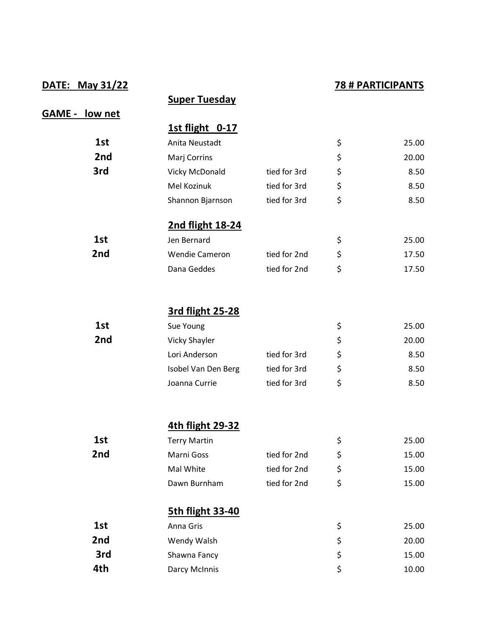## **DATE: May 31/22 78 # PARTICIPANTS**

|                       | <b>Super Tuesday</b>    |              |             |
|-----------------------|-------------------------|--------------|-------------|
| <b>GAME - low net</b> |                         |              |             |
|                       | 1st flight 0-17         |              |             |
| 1st                   | Anita Neustadt          |              | \$<br>25.00 |
| 2nd                   | Marj Corrins            |              | \$<br>20.00 |
| 3rd                   | Vicky McDonald          | tied for 3rd | \$<br>8.50  |
|                       | Mel Kozinuk             | tied for 3rd | \$<br>8.50  |
|                       | Shannon Bjarnson        | tied for 3rd | \$<br>8.50  |
|                       | 2nd flight 18-24        |              |             |
| 1st                   | Jen Bernard             |              | \$<br>25.00 |
| 2nd                   | <b>Wendie Cameron</b>   | tied for 2nd | \$<br>17.50 |
|                       | Dana Geddes             | tied for 2nd | \$<br>17.50 |
|                       |                         |              |             |
|                       | 3rd flight 25-28        |              |             |
| 1st                   | Sue Young               |              | \$<br>25.00 |
| 2nd                   | <b>Vicky Shayler</b>    |              | \$<br>20.00 |
|                       | Lori Anderson           | tied for 3rd | \$<br>8.50  |
|                       | Isobel Van Den Berg     | tied for 3rd | \$<br>8.50  |
|                       | Joanna Currie           | tied for 3rd | \$<br>8.50  |
|                       | 4th flight 29-32        |              |             |
| 1st                   | <b>Terry Martin</b>     |              | \$<br>25.00 |
| 2nd                   | Marni Goss              | tied for 2nd | \$<br>15.00 |
|                       | Mal White               | tied for 2nd | \$<br>15.00 |
|                       | Dawn Burnham            | tied for 2nd | \$<br>15.00 |
|                       | <b>5th flight 33-40</b> |              |             |
| 1st                   | Anna Gris               |              | \$<br>25.00 |
| 2nd                   | Wendy Walsh             |              | \$<br>20.00 |
| 3rd                   | Shawna Fancy            |              | \$<br>15.00 |
| 4th                   | Darcy McInnis           |              | \$<br>10.00 |
|                       |                         |              |             |